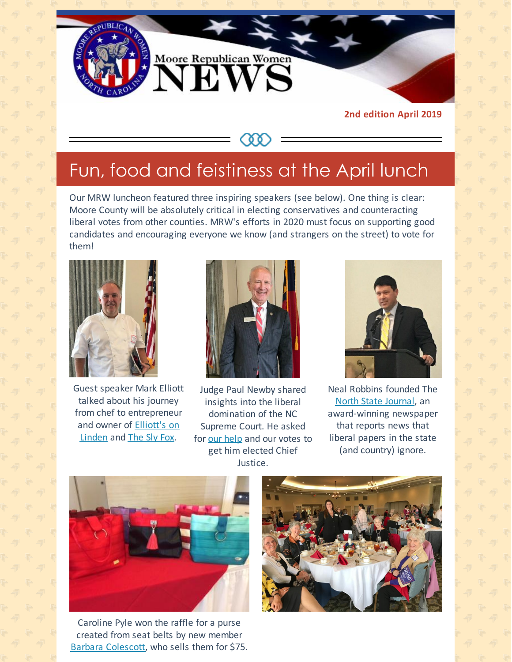

**2nd edition April 2019**

# Fun, food and feistiness at the April lunch

**CAA** 

Our MRW luncheon featured three inspiring speakers (see below). One thing is clear: Moore County will be absolutely critical in electing conservatives and counteracting liberal votes from other counties. MRW's efforts in 2020 must focus on supporting good candidates and encouraging everyone we know (and strangers on the street) to vote for them!



Guest speaker Mark Elliott talked about his journey from chef to entrepreneur and owner of [Elliott's](https://www.elliottsonlinden.com) on Linden and [The](https://www.theslyfoxpub.com) Sly Fox.



Judge Paul Newby shared insights into the liberal domination of the NC Supreme Court. He asked for our [help](http://www.paulnewby.com) and our votes to get him elected Chief Justice.



Neal Robbins founded The North State [Journal](http://nsjonline.com), an award-winning newspaper that reports news that liberal papers in the state (and country) ignore.



Caroline Pyle won the raffle for a purse created from seat belts by new member Barbara [Colescott](mailto:wondercraft@earthlink.net), who sells them for \$75.

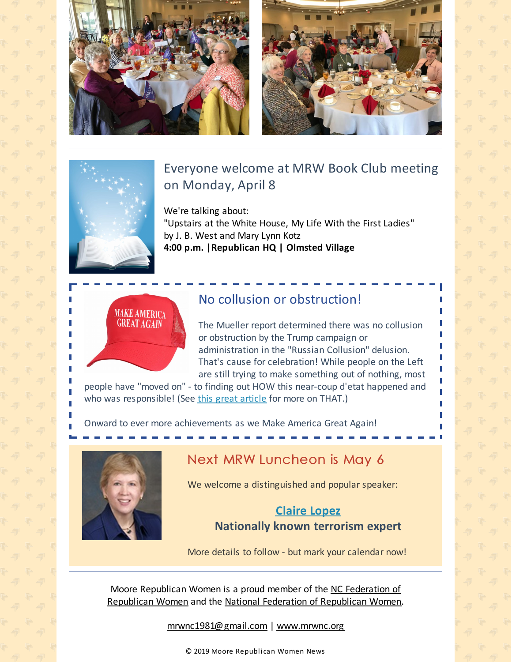



## Everyone welcome at MRW Book Club meeting on Monday, April 8

We're talking about:

"Upstairs at the White House, My Life With the First Ladies" by J. B. West and Mary Lynn Kotz **4:00 p.m. |Republican HQ | Olmsted Village**



## No collusion or obstruction!

The Mueller report determined there was no collusion or obstruction by the Trump campaign or administration in the "Russian Collusion" delusion. That's cause for celebration! While people on the Left are still trying to make something out of nothing, most

people have "moved on" - to finding out HOW this near-coup d'etat happened and who was responsible! (See this great [article](https://amgreatness.com/2019/03/31/the-tables-turn-in-russian-collusion-hunt/?fbclid=IwAR1S4JtpDlbGH3TMy82KYDoj3pq2eKtdq-NIIZ1mOQnY9deGeecVuWQnqtw#.XKJl8GRt0Qw.facebook) for more on THAT.)

Onward to ever more achievements as we Make America Great Again!



## Next MRW Luncheon is May 6

We welcome a distinguished and popular speaker:

#### **[Claire](http://lopez.pundicity.com/about/) Lopez Nationally known terrorism expert**

More details to follow - but mark your calendar now!

Moore Republican Women is a proud member of the NC [Federation](http://www.ncfrw.com) of [Republican](http://www.nfrw.org) Women and the National Federation of Republican Women.

[mrwnc1981@gmail.com](mailto:mrwnc1981@gmail.com) | [www.mrwnc.org](http://www.mrwnc.org)

© 2019 Moore Republican Women News